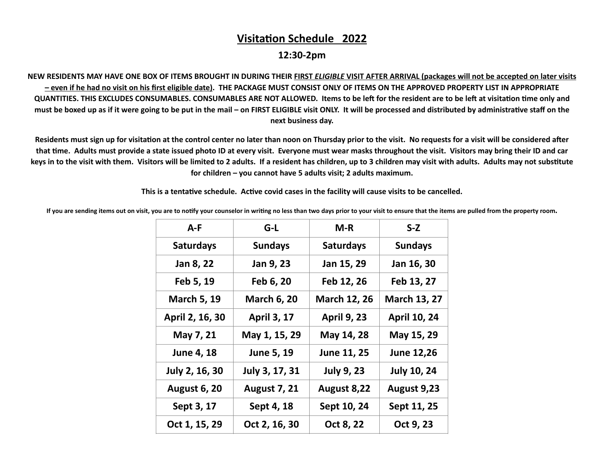## **Visitation Schedule 2022**

**12:30-2pm** 

**NEW RESIDENTS MAY HAVE ONE BOX OF ITEMS BROUGHT IN DURING THEIR FIRST** *ELIGIBLE* **VISIT AFTER ARRIVAL (packages will not be accepted on later visits – even if he had no visit on his first eligible date). THE PACKAGE MUST CONSIST ONLY OF ITEMS ON THE APPROVED PROPERTY LIST IN APPROPRIATE QUANTITIES. THIS EXCLUDES CONSUMABLES. CONSUMABLES ARE NOT ALLOWED. Items to be left for the resident are to be left at visitation time only and** must be boxed up as if it were going to be put in the mail – on FIRST ELIGIBLE visit ONLY. It will be processed and distributed by administrative staff on the **next business day.** 

Residents must sign up for visitation at the control center no later than noon on Thursday prior to the visit. No requests for a visit will be considered after **that &me. Adults must provide a state issued photo ID at every visit. Everyone must wear masks throughout the visit. Visitors may bring their ID and car**  keys in to the visit with them. Visitors will be limited to 2 adults. If a resident has children, up to 3 children may visit with adults. Adults may not substitute **for children – you cannot have 5 adults visit; 2 adults maximum.** 

This is a tentative schedule. Active covid cases in the facility will cause visits to be cancelled.

If you are sending items out on visit, you are to notify your counselor in writing no less than two days prior to your visit to ensure that the items are pulled from the property room.

| $A-F$                 | G-L                 | $M-R$               | $S-Z$               |
|-----------------------|---------------------|---------------------|---------------------|
| <b>Saturdays</b>      | <b>Sundays</b>      | <b>Saturdays</b>    | <b>Sundays</b>      |
| Jan 8, 22             | Jan 9, 23           | Jan 15, 29          | Jan 16, 30          |
| Feb 5, 19             | Feb 6, 20           | Feb 12, 26          | Feb 13, 27          |
| <b>March 5, 19</b>    | <b>March 6, 20</b>  | <b>March 12, 26</b> | <b>March 13, 27</b> |
| April 2, 16, 30       | <b>April 3, 17</b>  | <b>April 9, 23</b>  | <b>April 10, 24</b> |
| May 7, 21             | May 1, 15, 29       | May 14, 28          | May 15, 29          |
| <b>June 4, 18</b>     | June 5, 19          | June 11, 25         | <b>June 12,26</b>   |
| <b>July 2, 16, 30</b> | July 3, 17, 31      | <b>July 9, 23</b>   | <b>July 10, 24</b>  |
| <b>August 6, 20</b>   | <b>August 7, 21</b> | August 8,22         | August 9,23         |
| Sept 3, 17            | Sept 4, 18          | Sept 10, 24         | Sept 11, 25         |
| Oct 1, 15, 29         | Oct 2, 16, 30       | Oct 8, 22           | Oct 9, 23           |
|                       |                     |                     |                     |